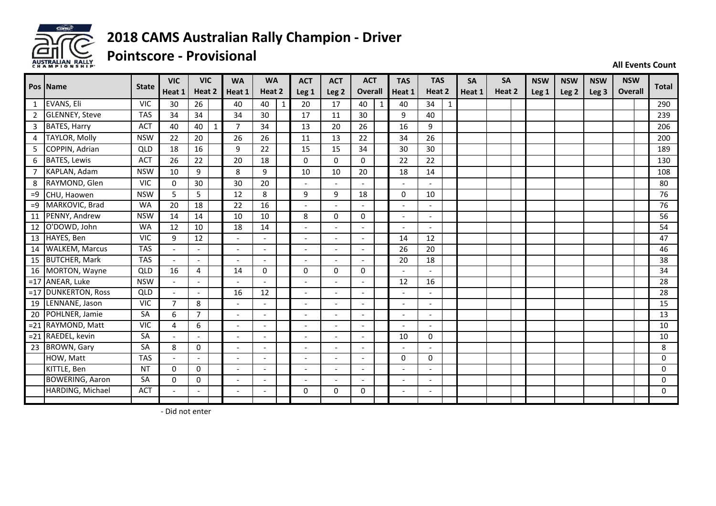

# **2018 CAMS Australian Rally Champion ‐ Driver**

# **Pointscore ‐ Provisional**

**All Events Count**

|                | Pos Name               |                 | <b>VIC</b>               | <b>VIC</b>               |   | <b>WA</b>                | <b>WA</b>                |   | <b>ACT</b>               | <b>ACT</b>               | <b>ACT</b>               |   | <b>TAS</b>               | <b>TAS</b>               |              | <b>SA</b> | <b>SA</b> | <b>NSW</b>       | <b>NSW</b>       | <b>NSW</b>       | <b>NSW</b> | <b>Total</b>    |
|----------------|------------------------|-----------------|--------------------------|--------------------------|---|--------------------------|--------------------------|---|--------------------------|--------------------------|--------------------------|---|--------------------------|--------------------------|--------------|-----------|-----------|------------------|------------------|------------------|------------|-----------------|
|                |                        | <b>State</b>    | Heat 1                   | Heat 2                   |   | Heat 1                   | Heat 2                   |   | Leg <sub>1</sub>         | Leg <sub>2</sub>         | Overall                  |   | Heat 1                   | Heat 2                   |              | Heat 1    | Heat 2    | Leg <sub>1</sub> | Leg <sub>2</sub> | Leg <sub>3</sub> | Overall    |                 |
| $\mathbf{1}$   | EVANS, Eli             | <b>VIC</b>      | 30                       | 26                       |   | 40                       | 40                       | 1 | 20                       | 17                       | 40                       | 1 | 40                       | 34                       | $\mathbf{1}$ |           |           |                  |                  |                  |            | 290             |
| $\overline{2}$ | <b>GLENNEY, Steve</b>  | <b>TAS</b>      | 34                       | 34                       |   | 34                       | 30                       |   | 17                       | 11                       | 30                       |   | 9                        | 40                       |              |           |           |                  |                  |                  |            | 239             |
| 3              | BATES, Harry           | <b>ACT</b>      | 40                       | 40                       | 1 | $\overline{7}$           | 34                       |   | 13                       | 20                       | 26                       |   | 16                       | $\mathsf g$              |              |           |           |                  |                  |                  |            | 206             |
| $\overline{4}$ | <b>TAYLOR, Molly</b>   | <b>NSW</b>      | 22                       | 20                       |   | 26                       | 26                       |   | 11                       | 13                       | 22                       |   | 34                       | 26                       |              |           |           |                  |                  |                  |            | 200             |
| 5              | COPPIN, Adrian         | QLD             | 18                       | 16                       |   | 9                        | 22                       |   | 15                       | 15                       | 34                       |   | 30                       | 30                       |              |           |           |                  |                  |                  |            | 189             |
| 6              | <b>BATES, Lewis</b>    | <b>ACT</b>      | 26                       | 22                       |   | 20                       | 18                       |   | $\mathbf{0}$             | $\Omega$                 | $\Omega$                 |   | 22                       | 22                       |              |           |           |                  |                  |                  |            | 130             |
| 7              | KAPLAN, Adam           | <b>NSW</b>      | 10                       | 9                        |   | 8                        | 9                        |   | 10                       | 10                       | 20                       |   | 18                       | 14                       |              |           |           |                  |                  |                  |            | 108             |
| 8              | RAYMOND, Glen          | <b>VIC</b>      | $\Omega$                 | 30                       |   | 30                       | 20                       |   | $\overline{a}$           |                          |                          |   |                          | $\blacksquare$           |              |           |           |                  |                  |                  |            | 80              |
| $=9$           | CHU, Haowen            | <b>NSW</b>      | 5                        | 5                        |   | 12                       | 8                        |   | 9                        | 9                        | 18                       |   | $\Omega$                 | 10                       |              |           |           |                  |                  |                  |            | 76              |
| $=9$           | MARKOVIC, Brad         | <b>WA</b>       | $\overline{20}$          | 18                       |   | $\overline{22}$          | 16                       |   | $\overline{\phantom{a}}$ |                          |                          |   |                          | $\overline{\phantom{a}}$ |              |           |           |                  |                  |                  |            | $\overline{76}$ |
| 11             | PENNY, Andrew          | <b>NSW</b>      | 14                       | 14                       |   | 10                       | 10                       |   | 8                        | 0                        | 0                        |   |                          | $\overline{a}$           |              |           |           |                  |                  |                  |            | 56              |
| 12             | O'DOWD, John           | <b>WA</b>       | 12                       | 10                       |   | 18                       | 14                       |   | $\overline{a}$           |                          | $\blacksquare$           |   |                          | $\blacksquare$           |              |           |           |                  |                  |                  |            | 54              |
| 13             | HAYES, Ben             | <b>VIC</b>      | 9                        | 12                       |   | $\blacksquare$           |                          |   | $\overline{\phantom{a}}$ |                          |                          |   | 14                       | 12                       |              |           |           |                  |                  |                  |            | 47              |
| 14             | <b>WALKEM, Marcus</b>  | <b>TAS</b>      | $\overline{a}$           | $\overline{\phantom{a}}$ |   | $\overline{a}$           | $\overline{\phantom{a}}$ |   | $\overline{a}$           | $\overline{\phantom{a}}$ |                          |   | 26                       | 20                       |              |           |           |                  |                  |                  |            | 46              |
|                | 15 BUTCHER, Mark       | <b>TAS</b>      | $\overline{\phantom{a}}$ | $\blacksquare$           |   | L,                       | $\overline{\phantom{a}}$ |   | $\overline{\phantom{a}}$ |                          |                          |   | 20                       | 18                       |              |           |           |                  |                  |                  |            | 38              |
| 16             | MORTON, Wayne          | QLD             | 16                       | $\overline{4}$           |   | 14                       | 0                        |   | 0                        | 0                        | $\Omega$                 |   |                          | $\blacksquare$           |              |           |           |                  |                  |                  |            | 34              |
|                | =17 ANEAR, Luke        | <b>NSW</b>      | $\overline{\phantom{a}}$ |                          |   |                          |                          |   | $\overline{\phantom{a}}$ |                          |                          |   | 12                       | 16                       |              |           |           |                  |                  |                  |            | 28              |
|                | =17 DUNKERTON, Ross    | QLD             | $\overline{a}$           | $\overline{a}$           |   | 16                       | 12                       |   | $\overline{a}$           |                          | $\overline{a}$           |   |                          | $\overline{\phantom{a}}$ |              |           |           |                  |                  |                  |            | 28              |
|                | 19 LENNANE, Jason      | $\overline{VC}$ | $\overline{7}$           | 8                        |   | $\overline{a}$           | $\overline{a}$           |   | $\overline{\phantom{a}}$ | $\overline{\phantom{a}}$ | $\overline{\phantom{a}}$ |   | $\overline{\phantom{a}}$ | $\blacksquare$           |              |           |           |                  |                  |                  |            | 15              |
| 20             | POHLNER, Jamie         | SA              | 6                        | $\overline{7}$           |   | $\overline{\phantom{a}}$ | $\overline{\phantom{a}}$ |   | $\overline{\phantom{a}}$ | $\overline{\phantom{a}}$ | $\blacksquare$           |   |                          | $\overline{\phantom{a}}$ |              |           |           |                  |                  |                  |            | 13              |
|                | =21 RAYMOND, Matt      | <b>VIC</b>      | $\overline{4}$           | 6                        |   | $\overline{a}$           | $\overline{a}$           |   | $\overline{a}$           | $\overline{\phantom{a}}$ | $\blacksquare$           |   | $\overline{\phantom{a}}$ | $\overline{a}$           |              |           |           |                  |                  |                  |            | 10              |
|                | =21 RAEDEL, kevin      | <b>SA</b>       | $\overline{a}$           | $\blacksquare$           |   | $\overline{\phantom{a}}$ | $\blacksquare$           |   | $\blacksquare$           | $\overline{\phantom{a}}$ | $\overline{\phantom{a}}$ |   | 10                       | 0                        |              |           |           |                  |                  |                  |            | 10              |
| 23             | <b>BROWN, Gary</b>     | SA              | 8                        | $\mathbf 0$              |   | $\blacksquare$           | $\blacksquare$           |   | $\blacksquare$           | $\overline{\phantom{a}}$ | $\overline{\phantom{a}}$ |   |                          | $\blacksquare$           |              |           |           |                  |                  |                  |            | 8               |
|                | HOW, Matt              | <b>TAS</b>      | $\blacksquare$           | $\overline{\phantom{a}}$ |   | $\overline{a}$           | $\tilde{\phantom{a}}$    |   | $\overline{a}$           |                          |                          |   | $\Omega$                 | 0                        |              |           |           |                  |                  |                  |            | $\mathbf{0}$    |
|                | KITTLE, Ben            | <b>NT</b>       | $\Omega$                 | $\mathbf{0}$             |   | $\overline{a}$           | $\overline{\phantom{a}}$ |   | $\overline{a}$           | $\overline{\phantom{a}}$ | $\blacksquare$           |   |                          | $\blacksquare$           |              |           |           |                  |                  |                  |            | $\mathbf{0}$    |
|                | <b>BOWERING, Aaron</b> | SA              | $\mathbf{0}$             | $\mathbf 0$              |   | $\blacksquare$           |                          |   | $\blacksquare$           |                          |                          |   |                          | $\overline{\phantom{0}}$ |              |           |           |                  |                  |                  |            | $\Omega$        |
|                | HARDING, Michael       | <b>ACT</b>      |                          |                          |   | $\overline{a}$           |                          |   | 0                        | 0                        | 0                        |   |                          | $\overline{\phantom{a}}$ |              |           |           |                  |                  |                  |            | 0               |
|                |                        |                 |                          |                          |   |                          |                          |   |                          |                          |                          |   |                          |                          |              |           |           |                  |                  |                  |            |                 |

‐ Did not enter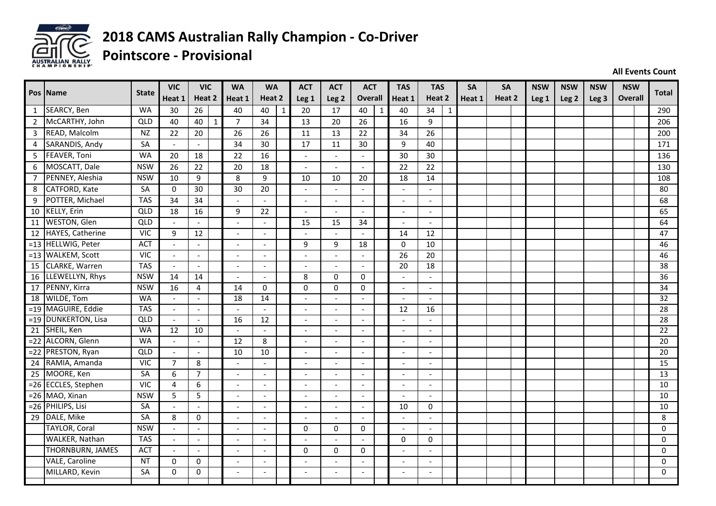

## **2018 CAMS Australian Rally Champion ‐ Co‐Driver**

## **Pointscore ‐ Provisional**

**All Events Count**

|                |                       |                 | <b>VIC</b>               |                          | <b>VIC</b>   |                          | <b>WA</b>                |              | <b>ACT</b>               | <b>ACT</b>               | <b>ACT</b>               |              | <b>TAS</b>               | <b>TAS</b>               |             | <b>SA</b> | <b>SA</b> | <b>NSW</b>       | <b>NSW</b>       | <b>NSW</b>       | <b>NSW</b>     |              |
|----------------|-----------------------|-----------------|--------------------------|--------------------------|--------------|--------------------------|--------------------------|--------------|--------------------------|--------------------------|--------------------------|--------------|--------------------------|--------------------------|-------------|-----------|-----------|------------------|------------------|------------------|----------------|--------------|
| Pos            | <b>Name</b>           | <b>State</b>    | Heat 1                   | Heat 2                   |              | Heat 1                   | Heat 2                   |              | Leg <sub>1</sub>         | Leg <sub>2</sub>         | <b>Overall</b>           |              | Heat 1                   | Heat 2                   |             | Heat 1    | Heat 2    | Leg <sub>1</sub> | Leg <sub>2</sub> | Leg <sub>3</sub> | <b>Overall</b> | <b>Total</b> |
| $\mathbf{1}$   | SEARCY, Ben           | <b>WA</b>       | 30                       | 26                       |              | 40                       | 40                       | $\mathbf{1}$ | 20                       | 17                       | 40                       | $\mathbf{1}$ | 40                       | 34                       | $\mathbf 1$ |           |           |                  |                  |                  |                | 290          |
| $\overline{2}$ | McCARTHY, John        | QLD             | 40                       | 40                       | $\mathbf{1}$ | $\overline{7}$           | 34                       |              | 13                       | 20                       | 26                       |              | 16                       | $\boldsymbol{9}$         |             |           |           |                  |                  |                  |                | 206          |
| 3              | READ, Malcolm         | <b>NZ</b>       | 22                       | 20                       |              | 26                       | 26                       |              | 11                       | 13                       | 22                       |              | 34                       | 26                       |             |           |           |                  |                  |                  |                | 200          |
| $\overline{4}$ | SARANDIS, Andy        | <b>SA</b>       |                          |                          |              | 34                       | 30                       |              | 17                       | 11                       | 30                       |              | 9                        | 40                       |             |           |           |                  |                  |                  |                | 171          |
| 5 <sub>1</sub> | FEAVER, Toni          | <b>WA</b>       | 20                       | 18                       |              | 22                       | 16                       |              | $\overline{\phantom{a}}$ |                          |                          |              | 30                       | 30                       |             |           |           |                  |                  |                  |                | 136          |
| 6              | MOSCATT, Dale         | <b>NSW</b>      | 26                       | 22                       |              | 20                       | 18                       |              | $\overline{\phantom{a}}$ |                          |                          |              | 22                       | 22                       |             |           |           |                  |                  |                  |                | 130          |
| $\overline{7}$ | PENNEY, Aleshia       | <b>NSW</b>      | 10                       | 9                        |              | 8                        | 9                        |              | 10                       | 10                       | 20                       |              | 18                       | 14                       |             |           |           |                  |                  |                  |                | 108          |
| 8              | <b>CATFORD, Kate</b>  | SA              | $\mathbf 0$              | 30                       |              | 30                       | 20                       |              | $\sim$                   |                          |                          |              |                          | $\sim$                   |             |           |           |                  |                  |                  |                | 80           |
| 9              | POTTER, Michael       | <b>TAS</b>      | 34                       | 34                       |              | $\overline{\phantom{a}}$ | $\blacksquare$           |              | $\overline{\phantom{a}}$ |                          | $\overline{\phantom{a}}$ |              |                          | $\overline{\phantom{a}}$ |             |           |           |                  |                  |                  |                | 68           |
| 10             | KELLY, Erin           | QLD             | 18                       | $\overline{16}$          |              | 9                        | 22                       |              | $\sim$                   |                          | $\overline{\phantom{a}}$ |              |                          | $\overline{\phantom{a}}$ |             |           |           |                  |                  |                  |                | 65           |
| 11             | <b>WESTON, Glen</b>   | QLD             | $\blacksquare$           | $\blacksquare$           |              | $\overline{a}$           | $\sim$                   |              | 15                       | 15                       | 34                       |              | $\blacksquare$           | $\overline{\phantom{a}}$ |             |           |           |                  |                  |                  |                | 64           |
| 12             | HAYES, Catherine      | $\overline{VC}$ | 9                        | 12                       |              | $\overline{\phantom{a}}$ | $\blacksquare$           |              | $\overline{\phantom{a}}$ |                          | $\overline{\phantom{a}}$ |              | 14                       | 12                       |             |           |           |                  |                  |                  |                | 47           |
|                | =13 HELLWIG, Peter    | <b>ACT</b>      | $\blacksquare$           | $\blacksquare$           |              | $\overline{a}$           | $\blacksquare$           |              | $\mathsf g$              | 9                        | 18                       |              | $\mathbf 0$              | 10                       |             |           |           |                  |                  |                  |                | 46           |
|                | =13 WALKEM, Scott     | <b>VIC</b>      | $\blacksquare$           | $\overline{\phantom{a}}$ |              | $\overline{\phantom{a}}$ | $\overline{\phantom{a}}$ |              | $\sim$                   |                          | $\overline{\phantom{a}}$ |              | $\overline{26}$          | $\overline{20}$          |             |           |           |                  |                  |                  |                | 46           |
|                | 15 CLARKE, Warren     | <b>TAS</b>      | $\blacksquare$           | $\overline{\phantom{a}}$ |              | $\blacksquare$           | $\overline{\phantom{a}}$ |              | $\overline{\phantom{a}}$ |                          | $\blacksquare$           |              | 20                       | 18                       |             |           |           |                  |                  |                  |                | 38           |
| 16             | LLEWELLYN, Rhys       | <b>NSW</b>      | 14                       | 14                       |              | $\overline{\phantom{a}}$ | $\sim$                   |              | 8                        | $\Omega$                 | $\mathbf 0$              |              |                          | $\overline{\phantom{a}}$ |             |           |           |                  |                  |                  |                | 36           |
| 17             | PENNY, Kirra          | <b>NSW</b>      | 16                       | $\overline{4}$           |              | 14                       | $\Omega$                 |              | $\mathbf 0$              | $\Omega$                 | $\pmb{0}$                |              | $\overline{\phantom{a}}$ | $\sim$                   |             |           |           |                  |                  |                  |                | 34           |
| 18             | WILDE, Tom            | <b>WA</b>       | $\overline{a}$           | $\overline{\phantom{a}}$ |              | $\overline{18}$          | 14                       |              | $\overline{\phantom{a}}$ |                          |                          |              | $\sim$                   | $\overline{\phantom{a}}$ |             |           |           |                  |                  |                  |                | 32           |
|                | =19 MAGUIRE, Eddie    | <b>TAS</b>      | $\omega$                 | $\blacksquare$           |              | $\sim$                   | $\sim$                   |              | $\blacksquare$           | $\sim$                   | $\blacksquare$           |              | 12                       | 16                       |             |           |           |                  |                  |                  |                | 28           |
|                | =19 DUNKERTON, Lisa   | QLD             | $\omega$                 | $\omega$                 |              | 16                       | 12                       |              | $\sim$                   | $\overline{\phantom{a}}$ | $\sim$                   |              | $\overline{\phantom{a}}$ | $\overline{\phantom{a}}$ |             |           |           |                  |                  |                  |                | 28           |
|                | 21 SHEIL, Ken         | <b>WA</b>       | 12                       | 10                       |              | $\overline{\phantom{a}}$ | $\sim$                   |              | $\sim$                   |                          |                          |              |                          | $\overline{\phantom{a}}$ |             |           |           |                  |                  |                  |                | 22           |
|                | =22 ALCORN, Glenn     | <b>WA</b>       | $\sim$                   | $\sim$                   |              | 12                       | 8                        |              | $\overline{a}$           |                          |                          |              |                          | $\overline{a}$           |             |           |           |                  |                  |                  |                | 20           |
|                | =22 PRESTON, Ryan     | QLD             |                          | $\overline{\phantom{a}}$ |              | 10                       | 10                       |              | $\overline{a}$           | $\overline{\phantom{a}}$ | $\overline{\phantom{a}}$ |              |                          | $\overline{\phantom{a}}$ |             |           |           |                  |                  |                  |                | 20           |
|                | 24 RAMIA, Amanda      | $\overline{V}$  | $\overline{7}$           | 8                        |              | $\sim$                   | $\overline{a}$           |              | $\overline{\phantom{a}}$ | $\overline{\phantom{a}}$ |                          |              | $\overline{a}$           | $\overline{\phantom{a}}$ |             |           |           |                  |                  |                  |                | 15           |
|                | 25 MOORE, Ken         | SA              | 6                        | $\overline{7}$           |              | $\overline{a}$           | $\overline{a}$           |              | $\overline{a}$           |                          |                          |              |                          | $\sim$                   |             |           |           |                  |                  |                  |                | 13           |
|                | =26 ECCLES, Stephen   | $\overline{VC}$ | 4                        | 6                        |              | $\overline{\phantom{a}}$ | $\overline{a}$           |              | $\overline{a}$           |                          |                          |              |                          | $\overline{\phantom{a}}$ |             |           |           |                  |                  |                  |                | 10           |
|                | $=26$ MAO, Xinan      | <b>NSW</b>      | 5                        | 5                        |              | $\overline{\phantom{a}}$ | $\overline{a}$           |              | $\overline{\phantom{a}}$ |                          | $\overline{\phantom{0}}$ |              |                          | $\overline{\phantom{a}}$ |             |           |           |                  |                  |                  |                | 10           |
|                | =26 PHILIPS, Lisi     | SA              |                          | $\sim$                   |              | $\sim$                   | $\sim$                   |              | $\overline{\phantom{a}}$ | $\overline{\phantom{a}}$ | $\overline{\phantom{a}}$ |              | 10                       | $\pmb{0}$                |             |           |           |                  |                  |                  |                | 10           |
| 29             | DALE, Mike            | SA              | 8                        | 0                        |              | $\sim$                   | $\overline{\phantom{a}}$ |              | $\sim$                   |                          |                          |              |                          | $\sim$                   |             |           |           |                  |                  |                  |                | 8            |
|                | <b>TAYLOR, Coral</b>  | <b>NSW</b>      | $\sim$                   | $\sim$                   |              |                          | $\overline{a}$           |              | $\mathbf 0$              | $\mathbf{0}$             | $\mathbf 0$              |              |                          | $\sim$                   |             |           |           |                  |                  |                  |                | 0            |
|                | WALKER, Nathan        | <b>TAS</b>      | $\overline{\phantom{a}}$ | $\sim$                   |              | $\overline{\phantom{a}}$ | $\overline{a}$           |              | $\overline{\phantom{a}}$ |                          |                          |              | $\Omega$                 | 0                        |             |           |           |                  |                  |                  |                | 0            |
|                | THORNBURN, JAMES      | <b>ACT</b>      | $\sim$                   | $\sim$                   |              | $\overline{\phantom{a}}$ | $\sim$                   |              | 0                        | $\mathbf{0}$             | $\pmb{0}$                |              |                          | $\overline{\phantom{a}}$ |             |           |           |                  |                  |                  |                | $\Omega$     |
|                | <b>VALE, Caroline</b> | NT              | 0                        | $\pmb{0}$                |              | $\sim$                   | $\overline{a}$           |              | $\sim$                   |                          |                          |              |                          | $\overline{\phantom{a}}$ |             |           |           |                  |                  |                  |                | 0            |
|                | MILLARD, Kevin        | SA              | 0                        | 0                        |              |                          |                          |              | $\overline{\phantom{a}}$ |                          |                          |              |                          | $\overline{\phantom{a}}$ |             |           |           |                  |                  |                  |                | 0            |
|                |                       |                 |                          |                          |              |                          |                          |              |                          |                          |                          |              |                          |                          |             |           |           |                  |                  |                  |                |              |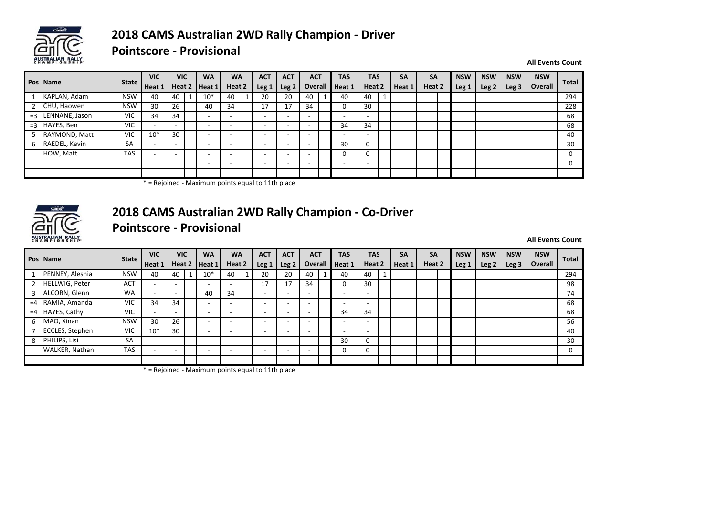

#### **2018 CAMS Australian 2WD Rally Champion ‐ Driver Pointscore ‐ Provisional**

**All Events Count**

|       | <b>Pos Name</b> |            | <b>VIC</b> | <b>VIC</b>               | <b>WA</b> | <b>WA</b> | <b>ACT</b>               | <b>ACT</b>               | <b>ACT</b> | <b>TAS</b> | <b>TAS</b>               | <b>SA</b> | <b>SA</b> | <b>NSW</b> | <b>NSW</b>       | <b>NSW</b>       |         | <b>NSW</b> |       |
|-------|-----------------|------------|------------|--------------------------|-----------|-----------|--------------------------|--------------------------|------------|------------|--------------------------|-----------|-----------|------------|------------------|------------------|---------|------------|-------|
|       |                 | State      | Heat 1     | Heat 2                   | Heat1     | Heat 2    | Leg 1                    | Leg 2                    | Overall    | Heat 1     | Heat 2                   | Heat 1    | Heat 2    | Leg 1      | Leg <sub>2</sub> | Leg <sub>3</sub> | Overall |            | Total |
|       | KAPLAN, Adam    | <b>NSW</b> | 40         | 40                       | $10*$     | 40        | 20                       | 20                       | 40         | 40         | 40                       |           |           |            |                  |                  |         |            | 294   |
|       | CHU, Haowen     | <b>NSW</b> | 30         | 26                       | 40        | 34        | 17                       | 17                       | 34         |            | 30                       |           |           |            |                  |                  |         |            | 228   |
| $=3$  | LENNANE, Jason  | <b>VIC</b> | 34         | 34                       |           |           | $\overline{\phantom{a}}$ | -                        | ۰.         |            | $\overline{\phantom{a}}$ |           |           |            |                  |                  |         |            | 68    |
| $=$ 3 | HAYES, Ben      | <b>VIC</b> |            |                          |           |           | -                        |                          |            | 34         | 34                       |           |           |            |                  |                  |         |            | 68    |
|       | RAYMOND, Matt   | VIC        | $10*$      | 30                       |           |           | $\overline{\phantom{a}}$ |                          |            |            | $\overline{\phantom{a}}$ |           |           |            |                  |                  |         |            | 40    |
| 6     | RAEDEL, Kevin   | SA         |            | $\overline{\phantom{a}}$ |           | -         | $\overline{\phantom{a}}$ |                          | ۰.         | 30         | 0                        |           |           |            |                  |                  |         |            | 30    |
|       | HOW, Matt       | <b>TAS</b> |            |                          | -         | -         | $\overline{\phantom{a}}$ | $\overline{\phantom{a}}$ |            |            | 0                        |           |           |            |                  |                  |         |            |       |
|       |                 |            |            |                          |           |           | -                        |                          |            |            |                          |           |           |            |                  |                  |         |            |       |
|       |                 |            |            |                          |           |           |                          |                          |            |            |                          |           |           |            |                  |                  |         |            |       |

\* = Rejoined ‐ Maximum points equal to 11th place



### **2018 CAMS Australian 2WD Rally Champion ‐ Co‐Driver**

**Pointscore ‐ Provisional**

**All Events Count**

|      |                        |            | <b>VIC</b>               | <b>VIC</b>               | <b>WA</b> | <b>WA</b> |  | <b>ACT</b>               | <b>ACT</b>               | <b>ACT</b>               |  | <b>TAS</b>               | <b>TAS</b>               |  | <b>SA</b> | <b>SA</b> |  | <b>NSW</b> | <b>NSW</b>       | <b>NSW</b>       | <b>NSW</b> |       |
|------|------------------------|------------|--------------------------|--------------------------|-----------|-----------|--|--------------------------|--------------------------|--------------------------|--|--------------------------|--------------------------|--|-----------|-----------|--|------------|------------------|------------------|------------|-------|
|      | Pos Name               | State      | Heat 1                   | Heat 2                   | Heat 1    | Heat 2    |  | Leg 1                    | Leg <sub>2</sub>         | Overall                  |  | Heat 1                   | Heat 2                   |  | Heat 1    | Heat 2    |  | Leg 1      | Leg <sub>2</sub> | Leg <sub>3</sub> | Overall    | Total |
|      | PENNEY, Aleshia        | <b>NSW</b> | 40                       | 40                       | $10*$     | 40        |  | 20                       | 20                       | 40                       |  | 40                       | 40                       |  |           |           |  |            |                  |                  |            | 294   |
|      | <b>HELLWIG, Peter</b>  | <b>ACT</b> |                          | $\overline{\phantom{a}}$ | ۰.        |           |  | 17                       | 17                       | 34                       |  | 0                        | 30                       |  |           |           |  |            |                  |                  |            | 98    |
|      | ALCORN, Glenn          | <b>WA</b>  |                          |                          | 40        | 34        |  | $\sim$                   | $\overline{\phantom{0}}$ | $\overline{\phantom{a}}$ |  | $\overline{\phantom{a}}$ | $\overline{\phantom{a}}$ |  |           |           |  |            |                  |                  |            | 74    |
| $=4$ | RAMIA, Amanda          | VIC        | 34                       | 34                       | ۰.        |           |  | ۰                        | -                        |                          |  |                          | $\overline{\phantom{0}}$ |  |           |           |  |            |                  |                  |            | 68    |
| $=4$ | HAYES, Cathy           | <b>VIC</b> |                          | $\overline{\phantom{a}}$ | ۰.        |           |  | ۰                        | -                        |                          |  | 34                       | 34                       |  |           |           |  |            |                  |                  |            | 68    |
| 6    | MAO, Xinan             | <b>NSW</b> | 30                       | 26                       | -         |           |  | $\overline{\phantom{a}}$ | $\overline{\phantom{0}}$ |                          |  | $\sim$                   | $\overline{\phantom{0}}$ |  |           |           |  |            |                  |                  |            | 56    |
|      | <b>ECCLES, Stephen</b> | <b>VIC</b> | $10*$                    | 30                       | -         |           |  | $\overline{\phantom{a}}$ | $\overline{\phantom{0}}$ |                          |  | $\overline{\phantom{a}}$ | $\overline{\phantom{a}}$ |  |           |           |  |            |                  |                  |            | 40    |
| 8    | PHILIPS, Lisi          | SA         | $\overline{\phantom{a}}$ |                          | ۰.        |           |  | $\overline{\phantom{a}}$ | $\overline{\phantom{0}}$ |                          |  | 30                       | 0                        |  |           |           |  |            |                  |                  |            | 30    |
|      | WALKER, Nathan         | <b>TAS</b> |                          | $\overline{\phantom{a}}$ | ۰.        |           |  | ۰                        |                          |                          |  | 0                        | 0                        |  |           |           |  |            |                  |                  |            |       |
|      |                        |            |                          |                          |           |           |  |                          |                          |                          |  |                          |                          |  |           |           |  |            |                  |                  |            |       |

\* = Rejoined ‐ Maximum points equal to 11th place